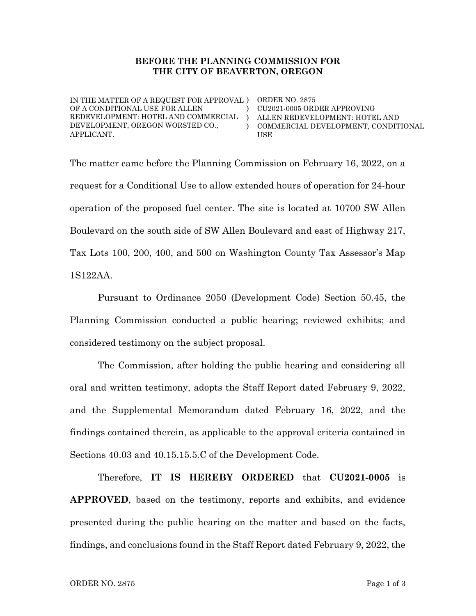## BEFORE THE PLANNING COMMISSION FOR THE CITY OF BEAVERTON, OREGON

IN THE MATTER OF A REQUEST FOR APPROVAL ) ORDER NO. 2875 OF A CONDITIONAL USE FOR ALLEN REDEVELOPMENT: HOTEL AND COMMERCIAL ) DEVELOPMENT, OREGON WORSTED CO., APPLICANT.

) CU2021-0005 ORDER APPROVING  $\lambda$ ALLEN REDEVELOPMENT: HOTEL AND COMMERCIAL DEVELOPMENT, CONDITIONAL USE

The matter came before the Planning Commission on February 16, 2022, on a request for a Conditional Use to allow extended hours of operation for 24-hour operation of the proposed fuel center. The site is located at 10700 SW Allen Boulevard on the south side of SW Allen Boulevard and east of Highway 217, Tax Lots 100, 200, 400, and 500 on Washington County Tax Assessor's Map 1S122AA.

Pursuant to Ordinance 2050 (Development Code) Section 50.45, the Planning Commission conducted a public hearing; reviewed exhibits; and considered testimony on the subject proposal.

The Commission, after holding the public hearing and considering all oral and written testimony, adopts the Staff Report dated February 9, 2022, and the Supplemental Memorandum dated February 16, 2022, and the findings contained therein, as applicable to the approval criteria contained in Sections 40.03 and 40.15.15.5.C of the Development Code.

Therefore, IT IS HEREBY ORDERED that CU2021-0005 is APPROVED, based on the testimony, reports and exhibits, and evidence presented during the public hearing on the matter and based on the facts, findings, and conclusions found in the Staff Report dated February 9, 2022, the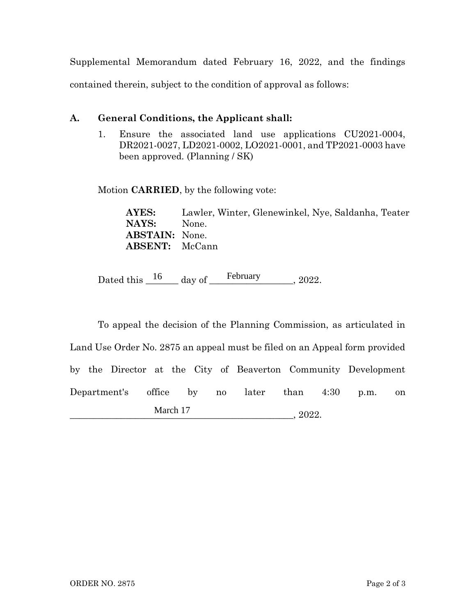Supplemental Memorandum dated February 16, 2022, and the findings contained therein, subject to the condition of approval as follows:

## A. General Conditions, the Applicant shall:

1. Ensure the associated land use applications CU2021-0004, DR2021-0027, LD2021-0002, LO2021-0001, and TP2021-0003 have been approved. (Planning / SK)

Motion CARRIED, by the following vote:

AYES: Lawler, Winter, Glenewinkel, Nye, Saldanha, Teater NAYS: None. ABSTAIN: None. ABSENT: McCann

Dated this  $\frac{16}{\text{day of}}$  day of February 2022.

To appeal the decision of the Planning Commission, as articulated in Land Use Order No. 2875 an appeal must be filed on an Appeal form provided by the Director at the City of Beaverton Community Development Department's office by no later than 4:30 p.m. on  $, 2022.$ March 17